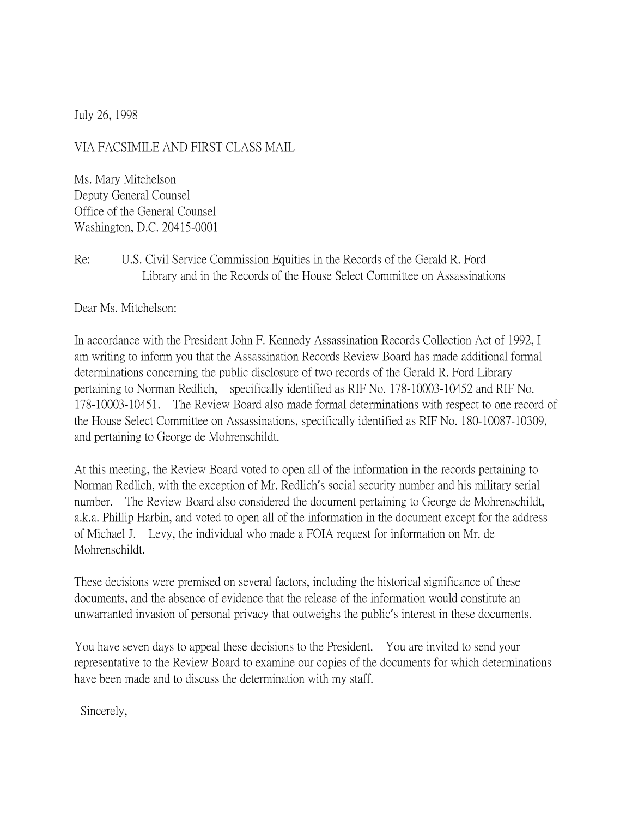July 26, 1998

VIA FACSIMILE AND FIRST CLASS MAIL

Ms. Mary Mitchelson Deputy General Counsel Office of the General Counsel Washington, D.C. 20415-0001

## Re: U.S. Civil Service Commission Equities in the Records of the Gerald R. Ford Library and in the Records of the House Select Committee on Assassinations

Dear Ms. Mitchelson:

In accordance with the President John F. Kennedy Assassination Records Collection Act of 1992, I am writing to inform you that the Assassination Records Review Board has made additional formal determinations concerning the public disclosure of two records of the Gerald R. Ford Library pertaining to Norman Redlich, specifically identified as RIF No. 178-10003-10452 and RIF No. 178-10003-10451. The Review Board also made formal determinations with respect to one record of the House Select Committee on Assassinations, specifically identified as RIF No. 180-10087-10309, and pertaining to George de Mohrenschildt.

At this meeting, the Review Board voted to open all of the information in the records pertaining to Norman Redlich, with the exception of Mr. Redlich's social security number and his military serial number. The Review Board also considered the document pertaining to George de Mohrenschildt, a.k.a. Phillip Harbin, and voted to open all of the information in the document except for the address of Michael J. Levy, the individual who made a FOIA request for information on Mr. de Mohrenschildt.

These decisions were premised on several factors, including the historical significance of these documents, and the absence of evidence that the release of the information would constitute an unwarranted invasion of personal privacy that outweighs the public's interest in these documents.

You have seven days to appeal these decisions to the President. You are invited to send your representative to the Review Board to examine our copies of the documents for which determinations have been made and to discuss the determination with my staff.

Sincerely,